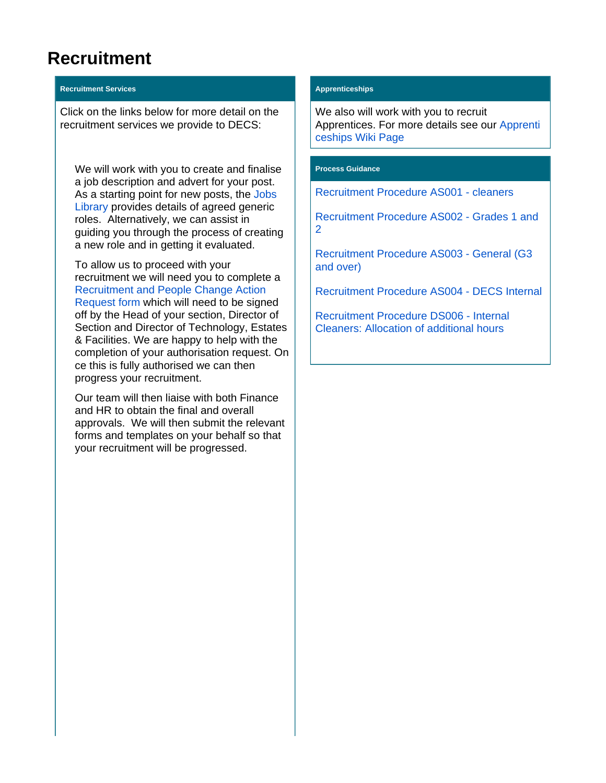## **Recruitment**

## **Recruitment Services**

Click on the links below for more detail on the recruitment services we provide to DECS:

We will work with you to create and finalise a job description and advert for your post. As a starting point for new posts, the [Jobs](https://www.york.ac.uk/admin/hr/recruitment/preparation/job-library/)  [Library](https://www.york.ac.uk/admin/hr/recruitment/preparation/job-library/) provides details of agreed generic roles. Alternatively, we can assist in guiding you through the process of creating a new role and in getting it evaluated.

To allow us to proceed with your recruitment we will need you to complete a [Recruitment and People Change Action](https://wiki.york.ac.uk/download/attachments/179344474/BLANK%20DECS%20Recruitment%20or%20People%20Change%20action%20reqeust%202018.docx?version=1&modificationDate=1589891482000&api=v2)  [Request form](https://wiki.york.ac.uk/download/attachments/179344474/BLANK%20DECS%20Recruitment%20or%20People%20Change%20action%20reqeust%202018.docx?version=1&modificationDate=1589891482000&api=v2) which will need to be signed off by the Head of your section, Director of Section and Director of Technology, Estates & Facilities. We are happy to help with the completion of your authorisation request. On ce this is fully authorised we can then progress your recruitment.

Our team will then liaise with both Finance and HR to obtain the final and overall approvals. We will then submit the relevant forms and templates on your behalf so that your recruitment will be progressed.

## **Apprenticeships**

We also will work with you to recruit Apprentices. For more details see our [Apprenti](https://wiki.york.ac.uk/display/DECSSERVICES/Apprenticeships) [ceships Wiki Page](https://wiki.york.ac.uk/display/DECSSERVICES/Apprenticeships)

## **Process Guidance**

[Recruitment Procedure AS001 - cleaners](https://wiki.york.ac.uk/download/attachments/179344474/Recruitment%20Procedure%20AS001%20v2%20-%20cleaners.docx?version=1&modificationDate=1591699252000&api=v2)

[Recruitment Procedure AS002 - Grades 1 and](https://wiki.york.ac.uk/download/attachments/179344474/Recruitment%20Procedure%20AS002%20v2%20-%20G1%262.docx?version=1&modificationDate=1591699691000&api=v2)  [2](https://wiki.york.ac.uk/download/attachments/179344474/Recruitment%20Procedure%20AS002%20v2%20-%20G1%262.docx?version=1&modificationDate=1591699691000&api=v2)

[Recruitment Procedure AS003 - General \(G3](https://wiki.york.ac.uk/download/attachments/179344474/Recruitment%20Procedure%20AS003%20%20v3-%20General%20%28over%20G1%262%29.docx?version=1&modificationDate=1591700036000&api=v2)  [and over\)](https://wiki.york.ac.uk/download/attachments/179344474/Recruitment%20Procedure%20AS003%20%20v3-%20General%20%28over%20G1%262%29.docx?version=1&modificationDate=1591700036000&api=v2)

[Recruitment Procedure AS004 - DECS Internal](https://wiki.york.ac.uk/download/attachments/179344474/Recruitment%20Procedure%20AS004%20v2%20-%20DECS%20Internal.docx?version=1&modificationDate=1591700345000&api=v2)

[Recruitment Procedure DS006 - Internal](https://wiki.york.ac.uk/download/attachments/179344474/Recruitment%20Procedure%20DS006%20v2%20-%20internal%20cleaners%20additional%20hours.docx?version=1&modificationDate=1602849369000&api=v2)  [Cleaners: Allocation of additional hours](https://wiki.york.ac.uk/download/attachments/179344474/Recruitment%20Procedure%20DS006%20v2%20-%20internal%20cleaners%20additional%20hours.docx?version=1&modificationDate=1602849369000&api=v2)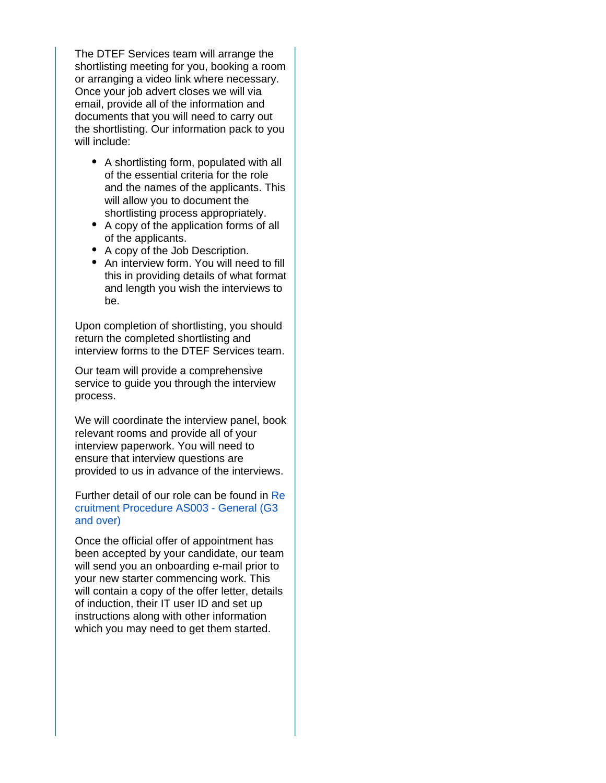The DTEF Services team will arrange the shortlisting meeting for you, booking a room or arranging a video link where necessary. Once your job advert closes we will via email, provide all of the information and documents that you will need to carry out the shortlisting. Our information pack to you will include:

- A shortlisting form, populated with all of the essential criteria for the role and the names of the applicants. This will allow you to document the shortlisting process appropriately.
- A copy of the application forms of all of the applicants.
- A copy of the Job Description.
- An interview form. You will need to fill this in providing details of what format and length you wish the interviews to be.

Upon completion of shortlisting, you should return the completed shortlisting and interview forms to the DTEF Services team.

Our team will provide a comprehensive service to guide you through the interview process.

We will coordinate the interview panel, book relevant rooms and provide all of your interview paperwork. You will need to ensure that interview questions are provided to us in advance of the interviews.

Further detail of our role can be found in [Re](https://wiki.york.ac.uk/download/attachments/179344474/Recruitment%20Procedure%20AS003%20%20v3-%20General%20%28over%20G1%262%29.docx?version=1&modificationDate=1591700036000&api=v2) [cruitment Procedure AS003 - General \(G3](https://wiki.york.ac.uk/download/attachments/179344474/Recruitment%20Procedure%20AS003%20%20v3-%20General%20%28over%20G1%262%29.docx?version=1&modificationDate=1591700036000&api=v2)  [and over\)](https://wiki.york.ac.uk/download/attachments/179344474/Recruitment%20Procedure%20AS003%20%20v3-%20General%20%28over%20G1%262%29.docx?version=1&modificationDate=1591700036000&api=v2)

Once the official offer of appointment has been accepted by your candidate, our team will send you an onboarding e-mail prior to your new starter commencing work. This will contain a copy of the offer letter, details of induction, their IT user ID and set up instructions along with other information which you may need to get them started.